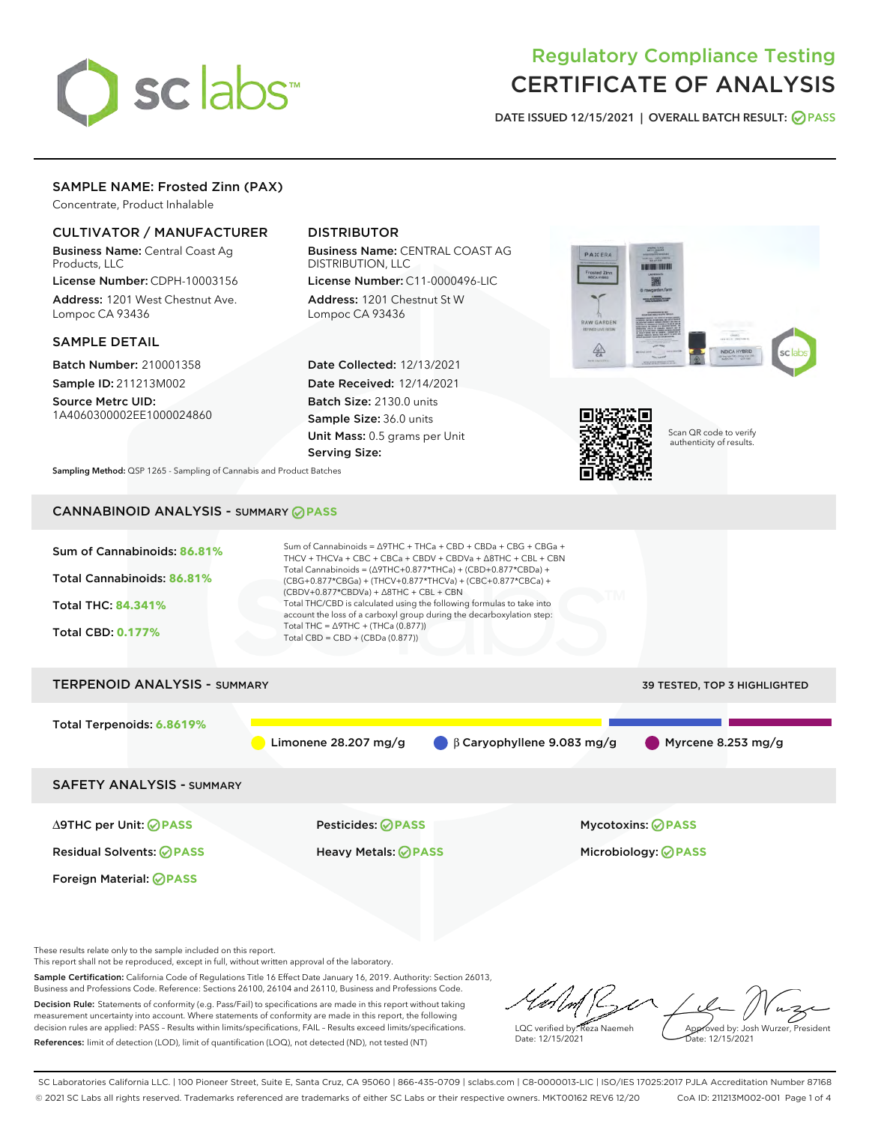

# Regulatory Compliance Testing CERTIFICATE OF ANALYSIS

DATE ISSUED 12/15/2021 | OVERALL BATCH RESULT: @ PASS

# SAMPLE NAME: Frosted Zinn (PAX)

Concentrate, Product Inhalable

# CULTIVATOR / MANUFACTURER

Business Name: Central Coast Ag Products, LLC

License Number: CDPH-10003156 Address: 1201 West Chestnut Ave. Lompoc CA 93436

### SAMPLE DETAIL

Batch Number: 210001358 Sample ID: 211213M002

Source Metrc UID: 1A4060300002EE1000024860

# DISTRIBUTOR

Business Name: CENTRAL COAST AG DISTRIBUTION, LLC License Number: C11-0000496-LIC

Address: 1201 Chestnut St W Lompoc CA 93436

Date Collected: 12/13/2021 Date Received: 12/14/2021 Batch Size: 2130.0 units Sample Size: 36.0 units Unit Mass: 0.5 grams per Unit Serving Size:





Scan QR code to verify authenticity of results.

Sampling Method: QSP 1265 - Sampling of Cannabis and Product Batches

# CANNABINOID ANALYSIS - SUMMARY **PASS**



These results relate only to the sample included on this report.

This report shall not be reproduced, except in full, without written approval of the laboratory.

Sample Certification: California Code of Regulations Title 16 Effect Date January 16, 2019. Authority: Section 26013, Business and Professions Code. Reference: Sections 26100, 26104 and 26110, Business and Professions Code. Decision Rule: Statements of conformity (e.g. Pass/Fail) to specifications are made in this report without taking

measurement uncertainty into account. Where statements of conformity are made in this report, the following decision rules are applied: PASS – Results within limits/specifications, FAIL – Results exceed limits/specifications. References: limit of detection (LOD), limit of quantification (LOQ), not detected (ND), not tested (NT)

LQC verified by: Reza Naemeh Date: 12/15/2021 Approved by: Josh Wurzer, President Date: 12/15/2021

SC Laboratories California LLC. | 100 Pioneer Street, Suite E, Santa Cruz, CA 95060 | 866-435-0709 | sclabs.com | C8-0000013-LIC | ISO/IES 17025:2017 PJLA Accreditation Number 87168 © 2021 SC Labs all rights reserved. Trademarks referenced are trademarks of either SC Labs or their respective owners. MKT00162 REV6 12/20 CoA ID: 211213M002-001 Page 1 of 4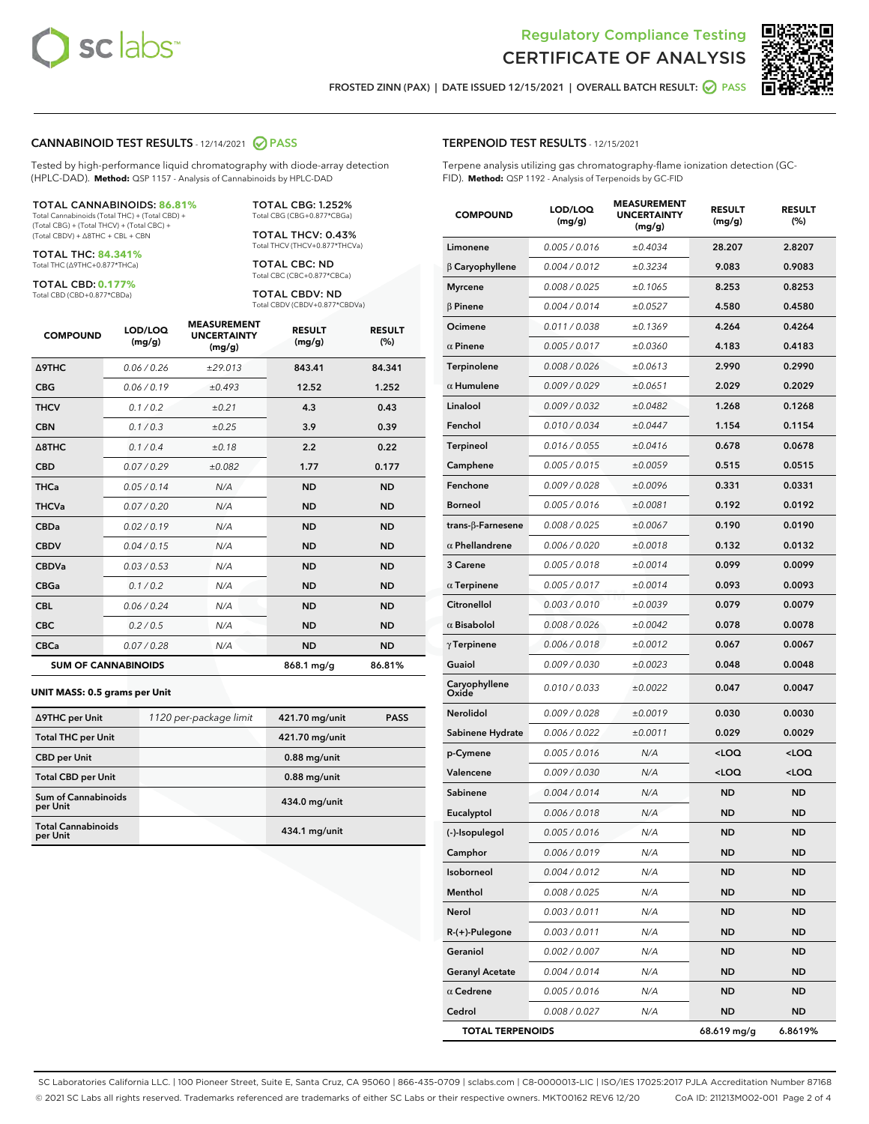

Terpene analysis utilizing gas chromatography-flame ionization detection (GC-



FROSTED ZINN (PAX) | DATE ISSUED 12/15/2021 | OVERALL BATCH RESULT:  $\bigcirc$  PASS

TERPENOID TEST RESULTS - 12/15/2021

FID). **Method:** QSP 1192 - Analysis of Terpenoids by GC-FID

### CANNABINOID TEST RESULTS - 12/14/2021 2 PASS

Tested by high-performance liquid chromatography with diode-array detection (HPLC-DAD). **Method:** QSP 1157 - Analysis of Cannabinoids by HPLC-DAD

#### TOTAL CANNABINOIDS: **86.81%**

Total Cannabinoids (Total THC) + (Total CBD) + (Total CBG) + (Total THCV) + (Total CBC) + (Total CBDV) + ∆8THC + CBL + CBN

TOTAL THC: **84.341%** Total THC (∆9THC+0.877\*THCa)

TOTAL CBD: **0.177%**

Total CBD (CBD+0.877\*CBDa)

TOTAL CBG: 1.252% Total CBG (CBG+0.877\*CBGa)

TOTAL THCV: 0.43% Total THCV (THCV+0.877\*THCVa)

TOTAL CBC: ND Total CBC (CBC+0.877\*CBCa)

TOTAL CBDV: ND Total CBDV (CBDV+0.877\*CBDVa)

| <b>COMPOUND</b>  | LOD/LOQ<br>(mg/g)          | <b>MEASUREMENT</b><br><b>UNCERTAINTY</b><br>(mg/g) | <b>RESULT</b><br>(mg/g) | <b>RESULT</b><br>(%) |
|------------------|----------------------------|----------------------------------------------------|-------------------------|----------------------|
| <b>A9THC</b>     | 0.06 / 0.26                | ±29.013                                            | 843.41                  | 84.341               |
| <b>CBG</b>       | 0.06/0.19                  | ±0.493                                             | 12.52                   | 1.252                |
| <b>THCV</b>      | 0.1/0.2                    | ±0.21                                              | 4.3                     | 0.43                 |
| <b>CBN</b>       | 0.1/0.3                    | ±0.25                                              | 3.9                     | 0.39                 |
| $\triangle$ 8THC | 0.1/0.4                    | ±0.18                                              | 2.2                     | 0.22                 |
| <b>CBD</b>       | 0.07/0.29                  | ±0.082                                             | 1.77                    | 0.177                |
| <b>THCa</b>      | 0.05/0.14                  | N/A                                                | <b>ND</b>               | <b>ND</b>            |
| <b>THCVa</b>     | 0.07/0.20                  | N/A                                                | <b>ND</b>               | <b>ND</b>            |
| <b>CBDa</b>      | 0.02 / 0.19                | N/A                                                | <b>ND</b>               | <b>ND</b>            |
| <b>CBDV</b>      | 0.04 / 0.15                | N/A                                                | <b>ND</b>               | <b>ND</b>            |
| <b>CBDVa</b>     | 0.03/0.53                  | N/A                                                | <b>ND</b>               | <b>ND</b>            |
| <b>CBGa</b>      | 0.1 / 0.2                  | N/A                                                | <b>ND</b>               | <b>ND</b>            |
| <b>CBL</b>       | 0.06 / 0.24                | N/A                                                | <b>ND</b>               | <b>ND</b>            |
| <b>CBC</b>       | 0.2 / 0.5                  | N/A                                                | <b>ND</b>               | <b>ND</b>            |
| <b>CBCa</b>      | 0.07 / 0.28                | N/A                                                | <b>ND</b>               | <b>ND</b>            |
|                  | <b>SUM OF CANNABINOIDS</b> |                                                    | 868.1 mg/g              | 86.81%               |

#### **UNIT MASS: 0.5 grams per Unit**

| ∆9THC per Unit                         | 1120 per-package limit | 421.70 mg/unit  | <b>PASS</b> |
|----------------------------------------|------------------------|-----------------|-------------|
| <b>Total THC per Unit</b>              |                        | 421.70 mg/unit  |             |
| <b>CBD</b> per Unit                    |                        | $0.88$ mg/unit  |             |
| <b>Total CBD per Unit</b>              |                        | $0.88$ mg/unit  |             |
| <b>Sum of Cannabinoids</b><br>per Unit |                        | 434.0 mg/unit   |             |
| <b>Total Cannabinoids</b><br>per Unit  |                        | $434.1$ mg/unit |             |

| <b>COMPOUND</b>         | LOD/LOQ<br>(mg/g) | <b>MEASUREMENT</b><br><b>UNCERTAINTY</b><br>(mg/g) | <b>RESULT</b><br>(mg/g)                         | <b>RESULT</b><br>(%) |
|-------------------------|-------------------|----------------------------------------------------|-------------------------------------------------|----------------------|
| Limonene                | 0.005 / 0.016     | ±0.4034                                            | 28.207                                          | 2.8207               |
| $\beta$ Caryophyllene   | 0.004 / 0.012     | ±0.3234                                            | 9.083                                           | 0.9083               |
| <b>Myrcene</b>          | 0.008 / 0.025     | ±0.1065                                            | 8.253                                           | 0.8253               |
| $\beta$ Pinene          | 0.004 / 0.014     | ±0.0527                                            | 4.580                                           | 0.4580               |
| Ocimene                 | 0.011 / 0.038     | ±0.1369                                            | 4.264                                           | 0.4264               |
| $\alpha$ Pinene         | 0.005 / 0.017     | ±0.0360                                            | 4.183                                           | 0.4183               |
| Terpinolene             | 0.008 / 0.026     | ±0.0613                                            | 2.990                                           | 0.2990               |
| $\alpha$ Humulene       | 0.009 / 0.029     | ±0.0651                                            | 2.029                                           | 0.2029               |
| Linalool                | 0.009 / 0.032     | ±0.0482                                            | 1.268                                           | 0.1268               |
| Fenchol                 | 0.010 / 0.034     | ±0.0447                                            | 1.154                                           | 0.1154               |
| Terpineol               | 0.016 / 0.055     | ±0.0416                                            | 0.678                                           | 0.0678               |
| Camphene                | 0.005 / 0.015     | ±0.0059                                            | 0.515                                           | 0.0515               |
| Fenchone                | 0.009 / 0.028     | ±0.0096                                            | 0.331                                           | 0.0331               |
| <b>Borneol</b>          | 0.005 / 0.016     | ±0.0081                                            | 0.192                                           | 0.0192               |
| trans-β-Farnesene       | 0.008 / 0.025     | ±0.0067                                            | 0.190                                           | 0.0190               |
| $\alpha$ Phellandrene   | 0.006 / 0.020     | ±0.0018                                            | 0.132                                           | 0.0132               |
| 3 Carene                | 0.005 / 0.018     | ±0.0014                                            | 0.099                                           | 0.0099               |
| $\alpha$ Terpinene      | 0.005 / 0.017     | ±0.0014                                            | 0.093                                           | 0.0093               |
| Citronellol             | 0.003 / 0.010     | ±0.0039                                            | 0.079                                           | 0.0079               |
| $\alpha$ Bisabolol      | 0.008 / 0.026     | ±0.0042                                            | 0.078                                           | 0.0078               |
| $\gamma$ Terpinene      | 0.006 / 0.018     | ±0.0012                                            | 0.067                                           | 0.0067               |
| Guaiol                  | 0.009 / 0.030     | ±0.0023                                            | 0.048                                           | 0.0048               |
| Caryophyllene<br>Oxide  | 0.010 / 0.033     | ±0.0022                                            | 0.047                                           | 0.0047               |
| Nerolidol               | 0.009 / 0.028     | ±0.0019                                            | 0.030                                           | 0.0030               |
| Sabinene Hydrate        | 0.006 / 0.022     | ±0.0011                                            | 0.029                                           | 0.0029               |
| p-Cymene                | 0.005 / 0.016     | N/A                                                | <loq< th=""><th><loq< th=""></loq<></th></loq<> | <loq< th=""></loq<>  |
| Valencene               | 0.009 / 0.030     | N/A                                                | <loq< th=""><th><loq< th=""></loq<></th></loq<> | <loq< th=""></loq<>  |
| Sabinene                | 0.004 / 0.014     | N/A                                                | <b>ND</b>                                       | ND                   |
| Eucalyptol              | 0.006 / 0.018     | N/A                                                | ND                                              | ND                   |
| (-)-Isopulegol          | 0.005 / 0.016     | N/A                                                | ND                                              | ND                   |
| Camphor                 | 0.006 / 0.019     | N/A                                                | ND                                              | ND                   |
| Isoborneol              | 0.004 / 0.012     | N/A                                                | ND                                              | ND                   |
| Menthol                 | 0.008 / 0.025     | N/A                                                | ND                                              | ND                   |
| Nerol                   | 0.003 / 0.011     | N/A                                                | ND                                              | ND                   |
| R-(+)-Pulegone          | 0.003 / 0.011     | N/A                                                | ND                                              | ND                   |
| Geraniol                | 0.002 / 0.007     | N/A                                                | ND                                              | ND                   |
| <b>Geranyl Acetate</b>  | 0.004 / 0.014     | N/A                                                | ND                                              | ND                   |
| $\alpha$ Cedrene        | 0.005 / 0.016     | N/A                                                | ND                                              | ND                   |
| Cedrol                  | 0.008 / 0.027     | N/A                                                | ND                                              | ND                   |
| <b>TOTAL TERPENOIDS</b> |                   |                                                    | 68.619 mg/g                                     | 6.8619%              |

SC Laboratories California LLC. | 100 Pioneer Street, Suite E, Santa Cruz, CA 95060 | 866-435-0709 | sclabs.com | C8-0000013-LIC | ISO/IES 17025:2017 PJLA Accreditation Number 87168 © 2021 SC Labs all rights reserved. Trademarks referenced are trademarks of either SC Labs or their respective owners. MKT00162 REV6 12/20 CoA ID: 211213M002-001 Page 2 of 4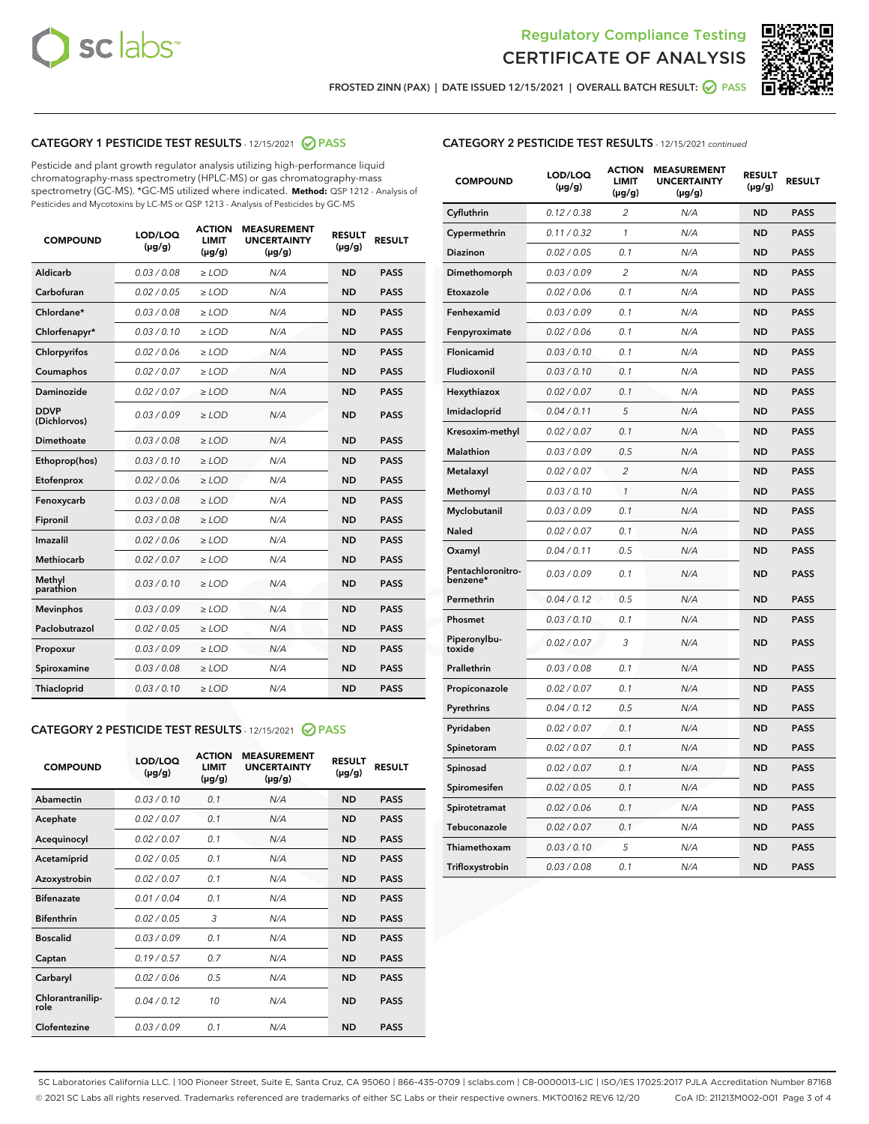



FROSTED ZINN (PAX) | DATE ISSUED 12/15/2021 | OVERALL BATCH RESULT: 2 PASS

# CATEGORY 1 PESTICIDE TEST RESULTS - 12/15/2021 2 PASS

Pesticide and plant growth regulator analysis utilizing high-performance liquid chromatography-mass spectrometry (HPLC-MS) or gas chromatography-mass spectrometry (GC-MS). \*GC-MS utilized where indicated. **Method:** QSP 1212 - Analysis of Pesticides and Mycotoxins by LC-MS or QSP 1213 - Analysis of Pesticides by GC-MS

| LOD/LOQ<br><b>LIMIT</b><br><b>COMPOUND</b><br>$(\mu g/g)$<br>$(\mu g/g)$ | <b>ACTION</b><br><b>MEASUREMENT</b><br><b>UNCERTAINTY</b><br>$(\mu g/g)$ | <b>RESULT</b><br>$(\mu g/g)$ | <b>RESULT</b> |
|--------------------------------------------------------------------------|--------------------------------------------------------------------------|------------------------------|---------------|
| 0.03/0.08<br>Aldicarb<br>$>$ LOD                                         | N/A                                                                      | <b>ND</b>                    | <b>PASS</b>   |
| Carbofuran<br>0.02/0.05<br>$>$ LOD                                       | N/A                                                                      | <b>ND</b>                    | <b>PASS</b>   |
| Chlordane*<br>0.03 / 0.08<br>$\ge$ LOD                                   | N/A                                                                      | <b>ND</b>                    | <b>PASS</b>   |
| Chlorfenapyr*<br>0.03/0.10<br>$>$ LOD                                    | N/A                                                                      | <b>ND</b>                    | <b>PASS</b>   |
| Chlorpyrifos<br>0.02 / 0.06<br>$\ge$ LOD                                 | N/A                                                                      | <b>ND</b>                    | <b>PASS</b>   |
| 0.02 / 0.07<br>Coumaphos<br>$\ge$ LOD                                    | N/A                                                                      | <b>ND</b>                    | <b>PASS</b>   |
| 0.02/0.07<br>Daminozide<br>$>$ LOD                                       | N/A                                                                      | <b>ND</b>                    | <b>PASS</b>   |
| <b>DDVP</b><br>0.03/0.09<br>$\ge$ LOD<br>(Dichlorvos)                    | N/A                                                                      | <b>ND</b>                    | <b>PASS</b>   |
| <b>Dimethoate</b><br>0.03 / 0.08<br>$\ge$ LOD                            | N/A                                                                      | <b>ND</b>                    | <b>PASS</b>   |
| Ethoprop(hos)<br>0.03/0.10<br>$>$ LOD                                    | N/A                                                                      | <b>ND</b>                    | <b>PASS</b>   |
| 0.02 / 0.06<br>$\ge$ LOD<br>Etofenprox                                   | N/A                                                                      | <b>ND</b>                    | <b>PASS</b>   |
| 0.03 / 0.08<br>Fenoxycarb<br>$>$ LOD                                     | N/A                                                                      | <b>ND</b>                    | <b>PASS</b>   |
| 0.03 / 0.08<br>Fipronil<br>$\ge$ LOD                                     | N/A                                                                      | <b>ND</b>                    | <b>PASS</b>   |
| Imazalil<br>0.02 / 0.06<br>$\ge$ LOD                                     | N/A                                                                      | <b>ND</b>                    | <b>PASS</b>   |
| <b>Methiocarb</b><br>0.02 / 0.07<br>$\ge$ LOD                            | N/A                                                                      | <b>ND</b>                    | <b>PASS</b>   |
| Methyl<br>0.03/0.10<br>$\ge$ LOD<br>parathion                            | N/A                                                                      | <b>ND</b>                    | <b>PASS</b>   |
| 0.03/0.09<br><b>Mevinphos</b><br>$\ge$ LOD                               | N/A                                                                      | <b>ND</b>                    | <b>PASS</b>   |
| Paclobutrazol<br>0.02 / 0.05<br>$>$ LOD                                  | N/A                                                                      | <b>ND</b>                    | <b>PASS</b>   |
| 0.03/0.09<br>$\ge$ LOD<br>Propoxur                                       | N/A                                                                      | <b>ND</b>                    | <b>PASS</b>   |
| Spiroxamine<br>0.03 / 0.08<br>$\ge$ LOD                                  | N/A                                                                      | <b>ND</b>                    | <b>PASS</b>   |
| 0.03/0.10<br>$\ge$ LOD<br>Thiacloprid                                    | N/A                                                                      | <b>ND</b>                    | <b>PASS</b>   |

# CATEGORY 2 PESTICIDE TEST RESULTS - 12/15/2021 @ PASS

| <b>COMPOUND</b>          | LOD/LOO<br>$(\mu g/g)$ | <b>ACTION</b><br>LIMIT<br>$(\mu g/g)$ | <b>MEASUREMENT</b><br><b>UNCERTAINTY</b><br>$(\mu g/g)$ | <b>RESULT</b><br>$(\mu g/g)$ | <b>RESULT</b> |  |
|--------------------------|------------------------|---------------------------------------|---------------------------------------------------------|------------------------------|---------------|--|
| Abamectin                | 0.03/0.10              | 0.1                                   | N/A                                                     | <b>ND</b>                    | <b>PASS</b>   |  |
| Acephate                 | 0.02/0.07              | 0.1                                   | N/A                                                     | <b>ND</b>                    | <b>PASS</b>   |  |
| Acequinocyl              | 0.02/0.07              | 0.1                                   | N/A                                                     | <b>ND</b>                    | <b>PASS</b>   |  |
| Acetamiprid              | 0.02/0.05              | 0.1                                   | N/A                                                     | <b>ND</b>                    | <b>PASS</b>   |  |
| Azoxystrobin             | 0.02/0.07              | 0.1                                   | N/A                                                     | <b>ND</b>                    | <b>PASS</b>   |  |
| <b>Bifenazate</b>        | 0.01/0.04              | 0.1                                   | N/A                                                     | <b>ND</b>                    | <b>PASS</b>   |  |
| <b>Bifenthrin</b>        | 0.02 / 0.05            | 3                                     | N/A                                                     | <b>ND</b>                    | <b>PASS</b>   |  |
| <b>Boscalid</b>          | 0.03/0.09              | 0.1                                   | N/A                                                     | <b>ND</b>                    | <b>PASS</b>   |  |
| Captan                   | 0.19/0.57              | 0.7                                   | N/A                                                     | <b>ND</b>                    | <b>PASS</b>   |  |
| Carbaryl                 | 0.02/0.06              | 0.5                                   | N/A                                                     | <b>ND</b>                    | <b>PASS</b>   |  |
| Chlorantranilip-<br>role | 0.04/0.12              | 10                                    | N/A                                                     | <b>ND</b>                    | <b>PASS</b>   |  |
| Clofentezine             | 0.03/0.09              | 0.1                                   | N/A                                                     | <b>ND</b>                    | <b>PASS</b>   |  |

# CATEGORY 2 PESTICIDE TEST RESULTS - 12/15/2021 continued

| <b>COMPOUND</b>               | LOD/LOQ<br>(µg/g) | <b>ACTION</b><br><b>LIMIT</b><br>(µg/g) | <b>MEASUREMENT</b><br><b>UNCERTAINTY</b><br>$(\mu g/g)$ | <b>RESULT</b><br>(µg/g) | <b>RESULT</b> |
|-------------------------------|-------------------|-----------------------------------------|---------------------------------------------------------|-------------------------|---------------|
| Cyfluthrin                    | 0.12 / 0.38       | $\overline{c}$                          | N/A                                                     | <b>ND</b>               | <b>PASS</b>   |
| Cypermethrin                  | 0.11 / 0.32       | $\mathcal{I}$                           | N/A                                                     | <b>ND</b>               | <b>PASS</b>   |
| <b>Diazinon</b>               | 0.02 / 0.05       | 0.1                                     | N/A                                                     | <b>ND</b>               | <b>PASS</b>   |
| Dimethomorph                  | 0.03 / 0.09       | 2                                       | N/A                                                     | <b>ND</b>               | <b>PASS</b>   |
| Etoxazole                     | 0.02 / 0.06       | 0.1                                     | N/A                                                     | <b>ND</b>               | <b>PASS</b>   |
| Fenhexamid                    | 0.03 / 0.09       | 0.1                                     | N/A                                                     | <b>ND</b>               | <b>PASS</b>   |
| Fenpyroximate                 | 0.02 / 0.06       | 0.1                                     | N/A                                                     | <b>ND</b>               | <b>PASS</b>   |
| Flonicamid                    | 0.03/0.10         | 0.1                                     | N/A                                                     | <b>ND</b>               | <b>PASS</b>   |
| Fludioxonil                   | 0.03/0.10         | 0.1                                     | N/A                                                     | <b>ND</b>               | <b>PASS</b>   |
| Hexythiazox                   | 0.02 / 0.07       | 0.1                                     | N/A                                                     | <b>ND</b>               | <b>PASS</b>   |
| Imidacloprid                  | 0.04 / 0.11       | 5                                       | N/A                                                     | <b>ND</b>               | <b>PASS</b>   |
| Kresoxim-methyl               | 0.02 / 0.07       | 0.1                                     | N/A                                                     | <b>ND</b>               | <b>PASS</b>   |
| Malathion                     | 0.03 / 0.09       | 0.5                                     | N/A                                                     | <b>ND</b>               | <b>PASS</b>   |
| Metalaxyl                     | 0.02 / 0.07       | $\overline{c}$                          | N/A                                                     | <b>ND</b>               | <b>PASS</b>   |
| Methomyl                      | 0.03/0.10         | 1                                       | N/A                                                     | <b>ND</b>               | <b>PASS</b>   |
| Myclobutanil                  | 0.03 / 0.09       | 0.1                                     | N/A                                                     | <b>ND</b>               | <b>PASS</b>   |
| Naled                         | 0.02 / 0.07       | 0.1                                     | N/A                                                     | <b>ND</b>               | <b>PASS</b>   |
| Oxamyl                        | 0.04 / 0.11       | 0.5                                     | N/A                                                     | ND                      | <b>PASS</b>   |
| Pentachloronitro-<br>benzene* | 0.03 / 0.09       | 0.1                                     | N/A                                                     | <b>ND</b>               | <b>PASS</b>   |
| Permethrin                    | 0.04 / 0.12       | 0.5                                     | N/A                                                     | <b>ND</b>               | <b>PASS</b>   |
| Phosmet                       | 0.03 / 0.10       | 0.1                                     | N/A                                                     | <b>ND</b>               | <b>PASS</b>   |
| Piperonylbu-<br>toxide        | 0.02 / 0.07       | 3                                       | N/A                                                     | <b>ND</b>               | <b>PASS</b>   |
| Prallethrin                   | 0.03 / 0.08       | 0.1                                     | N/A                                                     | <b>ND</b>               | <b>PASS</b>   |
| Propiconazole                 | 0.02 / 0.07       | 0.1                                     | N/A                                                     | <b>ND</b>               | <b>PASS</b>   |
| Pyrethrins                    | 0.04 / 0.12       | 0.5                                     | N/A                                                     | <b>ND</b>               | <b>PASS</b>   |
| Pyridaben                     | 0.02 / 0.07       | 0.1                                     | N/A                                                     | <b>ND</b>               | <b>PASS</b>   |
| Spinetoram                    | 0.02 / 0.07       | 0.1                                     | N/A                                                     | <b>ND</b>               | <b>PASS</b>   |
| Spinosad                      | 0.02 / 0.07       | 0.1                                     | N/A                                                     | <b>ND</b>               | <b>PASS</b>   |
| Spiromesifen                  | 0.02 / 0.05       | 0.1                                     | N/A                                                     | <b>ND</b>               | <b>PASS</b>   |
| Spirotetramat                 | 0.02 / 0.06       | 0.1                                     | N/A                                                     | <b>ND</b>               | <b>PASS</b>   |
| Tebuconazole                  | 0.02 / 0.07       | 0.1                                     | N/A                                                     | <b>ND</b>               | <b>PASS</b>   |
| Thiamethoxam                  | 0.03 / 0.10       | 5                                       | N/A                                                     | <b>ND</b>               | <b>PASS</b>   |
| Trifloxystrobin               | 0.03 / 0.08       | 0.1                                     | N/A                                                     | <b>ND</b>               | <b>PASS</b>   |

SC Laboratories California LLC. | 100 Pioneer Street, Suite E, Santa Cruz, CA 95060 | 866-435-0709 | sclabs.com | C8-0000013-LIC | ISO/IES 17025:2017 PJLA Accreditation Number 87168 © 2021 SC Labs all rights reserved. Trademarks referenced are trademarks of either SC Labs or their respective owners. MKT00162 REV6 12/20 CoA ID: 211213M002-001 Page 3 of 4